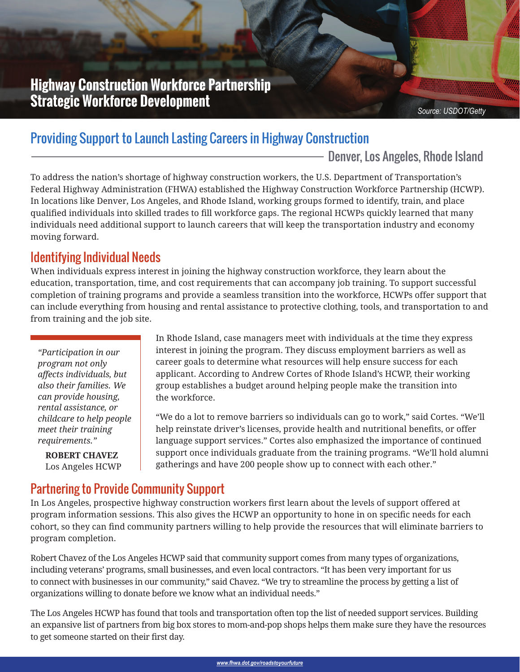# **Highway Construction Workforce Partnership Strategic Workforce Development**

# Providing Support to Launch Lasting Careers in Highway Construction

- Denver, Los Angeles, Rhode Island

To address the nation's shortage of highway construction workers, the U.S. Department of Transportation's Federal Highway Administration (FHWA) established the Highway Construction Workforce Partnership (HCWP). In locations like Denver, Los Angeles, and Rhode Island, working groups formed to identify, train, and place qualified individuals into skilled trades to fill workforce gaps. The regional HCWPs quickly learned that many individuals need additional support to launch careers that will keep the transportation industry and economy moving forward.

# Identifying Individual Needs

When individuals express interest in joining the highway construction workforce, they learn about the education, transportation, time, and cost requirements that can accompany job training. To support successful completion of training programs and provide a seamless transition into the workforce, HCWPs offer support that can include everything from housing and rental assistance to protective clothing, tools, and transportation to and from training and the job site.

*"Participation in our program not only affects individuals, but also their families. We can provide housing, rental assistance, or childcare to help people meet their training requirements."*

**ROBERT CHAVEZ** Los Angeles HCWP In Rhode Island, case managers meet with individuals at the time they express interest in joining the program. They discuss employment barriers as well as career goals to determine what resources will help ensure success for each applicant. According to Andrew Cortes of Rhode Island's HCWP, their working group establishes a budget around helping people make the transition into the workforce.

"We do a lot to remove barriers so individuals can go to work," said Cortes. "We'll help reinstate driver's licenses, provide health and nutritional benefits, or offer language support services." Cortes also emphasized the importance of continued support once individuals graduate from the training programs. "We'll hold alumni gatherings and have 200 people show up to connect with each other."

## Partnering to Provide Community Support

In Los Angeles, prospective highway construction workers first learn about the levels of support offered at program information sessions. This also gives the HCWP an opportunity to hone in on specific needs for each cohort, so they can find community partners willing to help provide the resources that will eliminate barriers to program completion.

Robert Chavez of the Los Angeles HCWP said that community support comes from many types of organizations, including veterans' programs, small businesses, and even local contractors. "It has been very important for us to connect with businesses in our community," said Chavez. "We try to streamline the process by getting a list of organizations willing to donate before we know what an individual needs."

The Los Angeles HCWP has found that tools and transportation often top the list of needed support services. Building an expansive list of partners from big box stores to mom-and-pop shops helps them make sure they have the resources to get someone started on their first day.